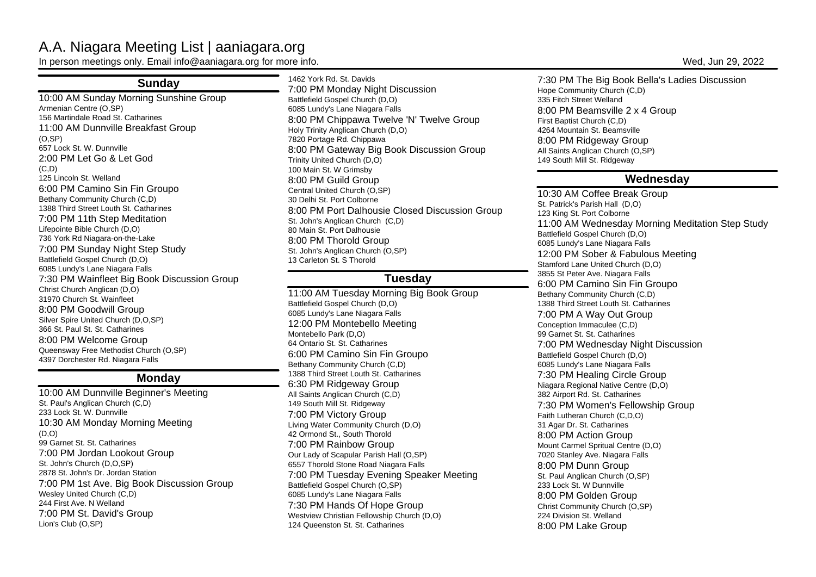# A.A. Niagara Meeting List | aaniagara.org

In person meetings only. Email info@aaniagara.org for more info. Wed, Jun 29, 2022

## **Sunday**

 10:00 AM Sunday Morning Sunshine GroupArmenian Centre (O,SP) 156 Martindale Road St. Catharines 11:00 AM Dunnville Breakfast Group(O,SP) 657 Lock St. W. Dunnville 2:00 PM Let Go & Let God $(C, D)$  125 Lincoln St. Welland 6:00 PM Camino Sin Fin GroupoBethany Community Church (C,D) 1388 Third Street Louth St. Catharines 7:00 PM 11th Step MeditationLifepointe Bible Church (D,O) 736 York Rd Niagara-on-the-Lake 7:00 PM Sunday Night Step StudyBattlefield Gospel Church (D,O) 6085 Lundy's Lane Niagara Falls 7:30 PM Wainfleet Big Book Discussion GroupChrist Church Anglican (D,O)31970 Church St. Wainfleet 8:00 PM Goodwill Group Silver Spire United Church (D,O,SP)366 St. Paul St. St. Catharines 8:00 PM Welcome Group Queensway Free Methodist Church (O,SP)4397 Dorchester Rd. Niagara Falls

### **Monday**

 10:00 AM Dunnville Beginner's MeetingSt. Paul's Anglican Church (C,D)233 Lock St. W. Dunnville 10:30 AM Monday Morning Meeting $(D, O)$  99 Garnet St. St. Catharines 7:00 PM Jordan Lookout GroupSt. John's Church (D,O,SP) 2878 St. John's Dr. Jordan Station 7:00 PM 1st Ave. Big Book Discussion GroupWesley United Church (C,D)244 First Ave. N Welland 7:00 PM St. David's GroupLion's Club (O,SP)

1462 York Rd. St. Davids 7:00 PM Monday Night DiscussionBattlefield Gospel Church (D,O) 6085 Lundy's Lane Niagara Falls 8:00 PM Chippawa Twelve 'N' Twelve GroupHoly Trinity Anglican Church (D,O)7820 Portage Rd. Chippawa 8:00 PM Gateway Big Book Discussion GroupTrinity United Church (D,O)100 Main St. W Grimsby 8:00 PM Guild Group Central United Church (O,SP)30 Delhi St. Port Colborne 8:00 PM Port Dalhousie Closed Discussion GroupSt. John's Anglican Church (C,D)80 Main St. Port Dalhousie 8:00 PM Thorold Group St. John's Anglican Church (O,SP)13 Carleton St. S Thorold

### **Tuesday**

 11:00 AM Tuesday Morning Big Book GroupBattlefield Gospel Church (D,O) 6085 Lundy's Lane Niagara Falls 12:00 PM Montebello MeetingMontebello Park (D,O) 64 Ontario St. St. Catharines 6:00 PM Camino Sin Fin GroupoBethany Community Church (C,D) 1388 Third Street Louth St. Catharines6:30 PM Ridgeway Group All Saints Anglican Church (C,D)149 South Mill St. Ridgeway 7:00 PM Victory Group Living Water Community Church (D,O)42 Ormond St., South Thorold 7:00 PM Rainbow Group Our Lady of Scapular Parish Hall (O,SP) 6557 Thorold Stone Road Niagara Falls 7:00 PM Tuesday Evening Speaker MeetingBattlefield Gospel Church (O,SP) 6085 Lundy's Lane Niagara Falls 7:30 PM Hands Of Hope Group Westview Christian Fellowship Church (D,O)124 Queenston St. St. Catharines

7:30 PM The Big Book Bella's Ladies DiscussionHope Community Church (C,D)335 Fitch Street Welland 8:00 PM Beamsville 2 x 4 GroupFirst Baptist Church (C,D) 4264 Mountain St. Beamsville 8:00 PM Ridgeway Group All Saints Anglican Church (O,SP)149 South Mill St. Ridgeway

### **Wednesday**

10:30 AM Coffee Break GroupSt. Patrick's Parish Hall (D,O)123 King St. Port Colborne 11:00 AM Wednesday Morning Meditation Step StudyBattlefield Gospel Church (D,O) 6085 Lundy's Lane Niagara Falls 12:00 PM Sober & Fabulous MeetingStamford Lane United Church (D,O)3855 St Peter Ave. Niagara Falls 6:00 PM Camino Sin Fin GroupoBethany Community Church (C,D) 1388 Third Street Louth St. Catharines7:00 PM A Way Out GroupConception Immaculee (C,D) 99 Garnet St. St. Catharines 7:00 PM Wednesday Night DiscussionBattlefield Gospel Church (D,O) 6085 Lundy's Lane Niagara Falls 7:30 PM Healing Circle Group Niagara Regional Native Centre (D,O)382 Airport Rd. St. Catharines 7:30 PM Women's Fellowship GroupFaith Lutheran Church (C,D,O)31 Agar Dr. St. Catharines 8:00 PM Action Group Mount Carmel Spritual Centre (D,O)7020 Stanley Ave. Niagara Falls8:00 PM Dunn Group St. Paul Anglican Church (O,SP)233 Lock St. W Dunnville 8:00 PM Golden Group Christ Community Church (O,SP)224 Division St. Welland8:00 PM Lake Group